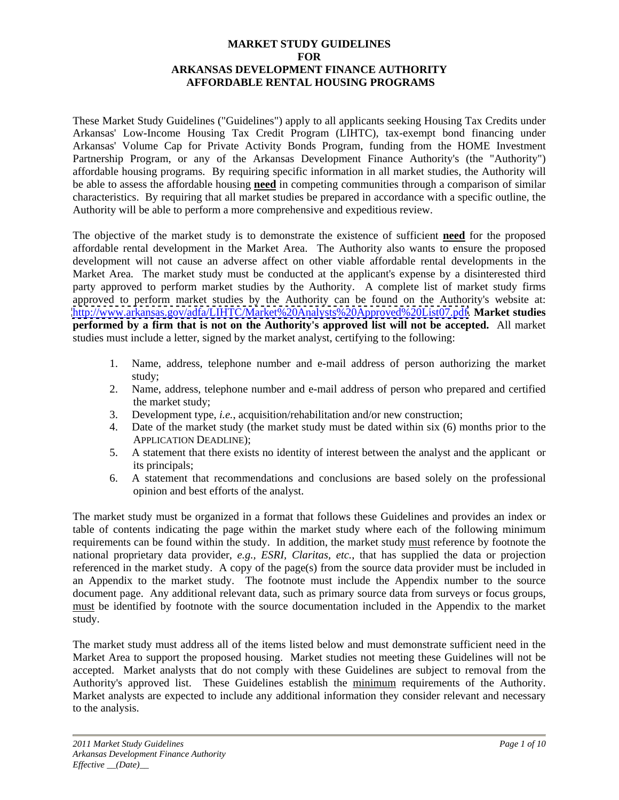### **MARKET STUDY GUIDELINES FOR ARKANSAS DEVELOPMENT FINANCE AUTHORITY AFFORDABLE RENTAL HOUSING PROGRAMS**

These Market Study Guidelines ("Guidelines") apply to all applicants seeking Housing Tax Credits under Arkansas' Low-Income Housing Tax Credit Program (LIHTC), tax-exempt bond financing under Arkansas' Volume Cap for Private Activity Bonds Program, funding from the HOME Investment Partnership Program, or any of the Arkansas Development Finance Authority's (the "Authority") affordable housing programs. By requiring specific information in all market studies, the Authority will be able to assess the affordable housing **need** in competing communities through a comparison of similar characteristics. By requiring that all market studies be prepared in accordance with a specific outline, the Authority will be able to perform a more comprehensive and expeditious review.

The objective of the market study is to demonstrate the existence of sufficient **need** for the proposed affordable rental development in the Market Area. The Authority also wants to ensure the proposed development will not cause an adverse affect on other viable affordable rental developments in the Market Area. The market study must be conducted at the applicant's expense by a disinterested third party approved to perform market studies by the Authority. A complete list of market study firms approved to perform market studies by the Authority can be found on the Authority's website at: [http://www.arkansas.gov/adfa/LIHTC/Market%20Analysts%20Approved%20List07.pdf.](http://www.arkansas.gov/adfa/LIHTC/Market%20Analysts%20Approved%20List07.pdf) **Market studies performed by a firm that is not on the Authority's approved list will not be accepted.** All market studies must include a letter, signed by the market analyst, certifying to the following:

- 1. Name, address, telephone number and e-mail address of person authorizing the market study;
- 2. Name, address, telephone number and e-mail address of person who prepared and certified the market study;
- 3. Development type, *i.e.*, acquisition/rehabilitation and/or new construction;
- 4. Date of the market study (the market study must be dated within six (6) months prior to the APPLICATION DEADLINE);
- 5. A statement that there exists no identity of interest between the analyst and the applicant or its principals;
- 6. A statement that recommendations and conclusions are based solely on the professional opinion and best efforts of the analyst.

The market study must be organized in a format that follows these Guidelines and provides an index or table of contents indicating the page within the market study where each of the following minimum requirements can be found within the study. In addition, the market study must reference by footnote the national proprietary data provider, *e.g., ESRI, Claritas, etc.*, that has supplied the data or projection referenced in the market study. A copy of the page(s) from the source data provider must be included in an Appendix to the market study. The footnote must include the Appendix number to the source document page. Any additional relevant data, such as primary source data from surveys or focus groups, must be identified by footnote with the source documentation included in the Appendix to the market study.

The market study must address all of the items listed below and must demonstrate sufficient need in the Market Area to support the proposed housing. Market studies not meeting these Guidelines will not be accepted. Market analysts that do not comply with these Guidelines are subject to removal from the Authority's approved list. These Guidelines establish the minimum requirements of the Authority. Market analysts are expected to include any additional information they consider relevant and necessary to the analysis.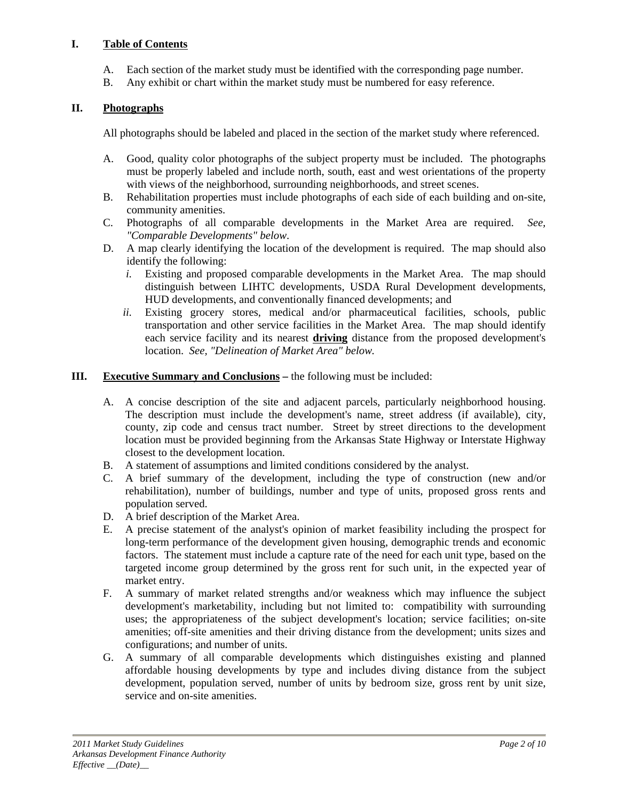### **I. Table of Contents**

- A. Each section of the market study must be identified with the corresponding page number.
- B. Any exhibit or chart within the market study must be numbered for easy reference.

### **II. Photographs**

All photographs should be labeled and placed in the section of the market study where referenced.

- A. Good, quality color photographs of the subject property must be included. The photographs must be properly labeled and include north, south, east and west orientations of the property with views of the neighborhood, surrounding neighborhoods, and street scenes.
- B. Rehabilitation properties must include photographs of each side of each building and on-site, community amenities.
- C. Photographs of all comparable developments in the Market Area are required. *See, "Comparable Developments" below*.
- D. A map clearly identifying the location of the development is required. The map should also identify the following:
	- *i.* Existing and proposed comparable developments in the Market Area. The map should distinguish between LIHTC developments, USDA Rural Development developments, HUD developments, and conventionally financed developments; and
	- *ii.* Existing grocery stores, medical and/or pharmaceutical facilities, schools, public transportation and other service facilities in the Market Area. The map should identify each service facility and its nearest **driving** distance from the proposed development's location. *See, "Delineation of Market Area" below.*

#### **III. Executive Summary and Conclusions –** the following must be included:

- A. A concise description of the site and adjacent parcels, particularly neighborhood housing. The description must include the development's name, street address (if available), city, county, zip code and census tract number. Street by street directions to the development location must be provided beginning from the Arkansas State Highway or Interstate Highway closest to the development location.
- B. A statement of assumptions and limited conditions considered by the analyst.
- C. A brief summary of the development, including the type of construction (new and/or rehabilitation), number of buildings, number and type of units, proposed gross rents and population served.
- D. A brief description of the Market Area.
- E. A precise statement of the analyst's opinion of market feasibility including the prospect for long-term performance of the development given housing, demographic trends and economic factors. The statement must include a capture rate of the need for each unit type, based on the targeted income group determined by the gross rent for such unit, in the expected year of market entry.
- F. A summary of market related strengths and/or weakness which may influence the subject development's marketability, including but not limited to: compatibility with surrounding uses; the appropriateness of the subject development's location; service facilities; on-site amenities; off-site amenities and their driving distance from the development; units sizes and configurations; and number of units.
- G. A summary of all comparable developments which distinguishes existing and planned affordable housing developments by type and includes diving distance from the subject development, population served, number of units by bedroom size, gross rent by unit size, service and on-site amenities.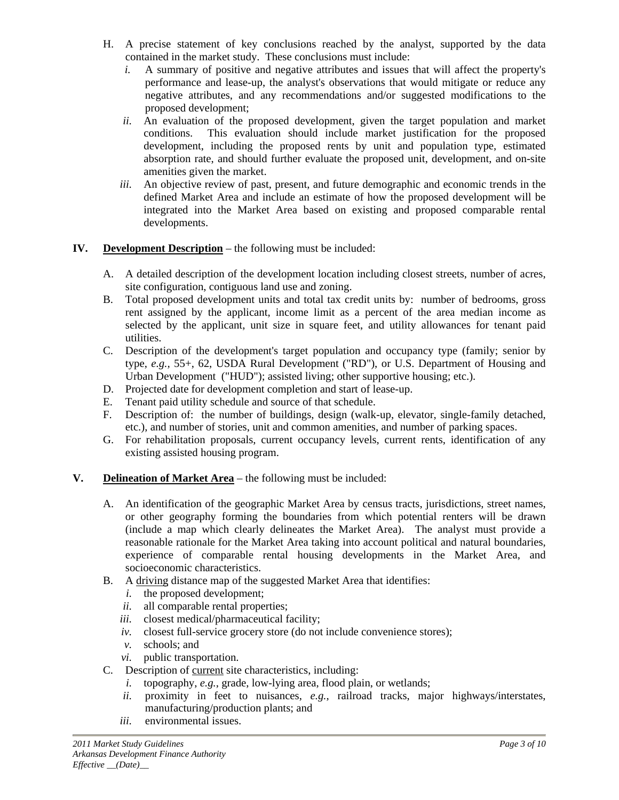- H. A precise statement of key conclusions reached by the analyst, supported by the data contained in the market study. These conclusions must include:
	- *i.* A summary of positive and negative attributes and issues that will affect the property's performance and lease-up, the analyst's observations that would mitigate or reduce any negative attributes, and any recommendations and/or suggested modifications to the proposed development;
	- *ii.* An evaluation of the proposed development, given the target population and market conditions. This evaluation should include market justification for the proposed development, including the proposed rents by unit and population type, estimated absorption rate, and should further evaluate the proposed unit, development, and on-site amenities given the market.
	- *iii.* An objective review of past, present, and future demographic and economic trends in the defined Market Area and include an estimate of how the proposed development will be integrated into the Market Area based on existing and proposed comparable rental developments.

## **IV. Development Description** – the following must be included:

- A. A detailed description of the development location including closest streets, number of acres, site configuration, contiguous land use and zoning.
- B. Total proposed development units and total tax credit units by: number of bedrooms, gross rent assigned by the applicant, income limit as a percent of the area median income as selected by the applicant, unit size in square feet, and utility allowances for tenant paid utilities.
- C. Description of the development's target population and occupancy type (family; senior by type, *e.g.,* 55+, 62, USDA Rural Development ("RD"), or U.S. Department of Housing and Urban Development ("HUD"); assisted living; other supportive housing; etc.).
- D. Projected date for development completion and start of lease-up.
- E. Tenant paid utility schedule and source of that schedule.
- F. Description of: the number of buildings, design (walk-up, elevator, single-family detached, etc.), and number of stories, unit and common amenities, and number of parking spaces.
- G. For rehabilitation proposals, current occupancy levels, current rents, identification of any existing assisted housing program.

## **V. Delineation of Market Area** – the following must be included:

- A. An identification of the geographic Market Area by census tracts, jurisdictions, street names, or other geography forming the boundaries from which potential renters will be drawn (include a map which clearly delineates the Market Area). The analyst must provide a reasonable rationale for the Market Area taking into account political and natural boundaries, experience of comparable rental housing developments in the Market Area, and socioeconomic characteristics.
- B. A driving distance map of the suggested Market Area that identifies:
	- *i.* the proposed development;
	- *ii.* all comparable rental properties;
	- *iii.* closest medical/pharmaceutical facility;
	- *iv.* closest full-service grocery store (do not include convenience stores);
	- *v.* schools; and
	- *vi.* public transportation.
- C. Description of current site characteristics, including:
	- *i.* topography, *e.g.*, grade, low-lying area, flood plain, or wetlands;
	- *ii.* proximity in feet to nuisances, *e.g.*, railroad tracks, major highways/interstates, manufacturing/production plants; and
	- *iii.* environmental issues.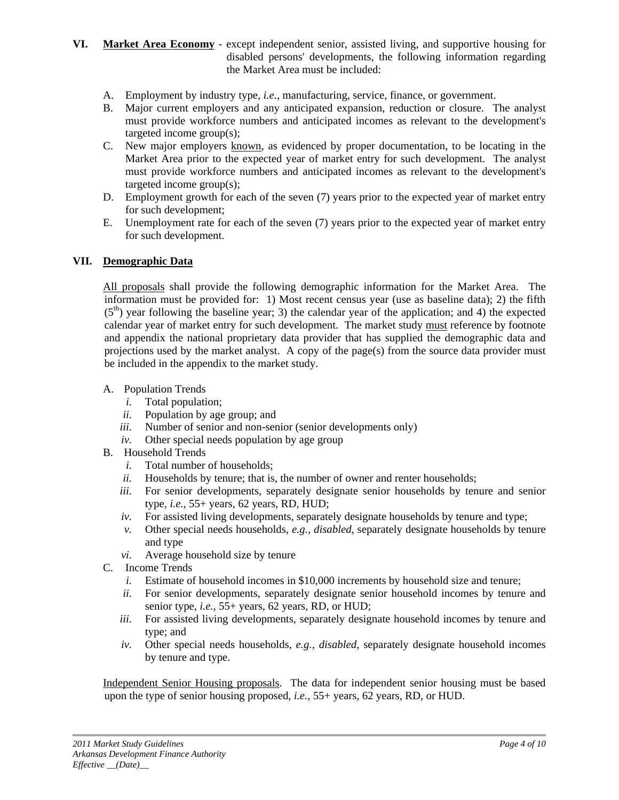### **VI. Market Area Economy** - except independent senior, assisted living, and supportive housing for disabled persons' developments, the following information regarding the Market Area must be included:

- A. Employment by industry type, *i.e.*, manufacturing, service, finance, or government.
- B. Major current employers and any anticipated expansion, reduction or closure. The analyst must provide workforce numbers and anticipated incomes as relevant to the development's targeted income group(s);
- C. New major employers known, as evidenced by proper documentation, to be locating in the Market Area prior to the expected year of market entry for such development. The analyst must provide workforce numbers and anticipated incomes as relevant to the development's targeted income group(s);
- D. Employment growth for each of the seven (7) years prior to the expected year of market entry for such development;
- E. Unemployment rate for each of the seven (7) years prior to the expected year of market entry for such development.

#### **VII. Demographic Data**

All proposals shall provide the following demographic information for the Market Area. The information must be provided for: 1) Most recent census year (use as baseline data); 2) the fifth  $(5<sup>th</sup>)$  year following the baseline year; 3) the calendar year of the application; and 4) the expected calendar year of market entry for such development. The market study must reference by footnote and appendix the national proprietary data provider that has supplied the demographic data and projections used by the market analyst. A copy of the page(s) from the source data provider must be included in the appendix to the market study.

#### A. Population Trends

- *i.* Total population;
- *ii.* Population by age group; and
- *iii.* Number of senior and non-senior (senior developments only)
- *iv.* Other special needs population by age group
- B. Household Trends
	- *i.* Total number of households;
	- *ii.* Households by tenure; that is, the number of owner and renter households;
	- *iii.* For senior developments, separately designate senior households by tenure and senior type, *i.e.*, 55+ years, 62 years, RD, HUD;
	- *iv.* For assisted living developments, separately designate households by tenure and type;
	- *v.* Other special needs households, *e.g., disabled*, separately designate households by tenure and type
	- *vi.* Average household size by tenure
- C. Income Trends
	- *i.* Estimate of household incomes in \$10,000 increments by household size and tenure;
	- *ii.* For senior developments, separately designate senior household incomes by tenure and senior type, *i.e.*, 55+ years, 62 years, RD, or HUD;
	- *iii.* For assisted living developments, separately designate household incomes by tenure and type; and
	- *iv.* Other special needs households, *e.g., disabled*, separately designate household incomes by tenure and type.

Independent Senior Housing proposals. The data for independent senior housing must be based upon the type of senior housing proposed, *i.e.*, 55+ years, 62 years, RD, or HUD.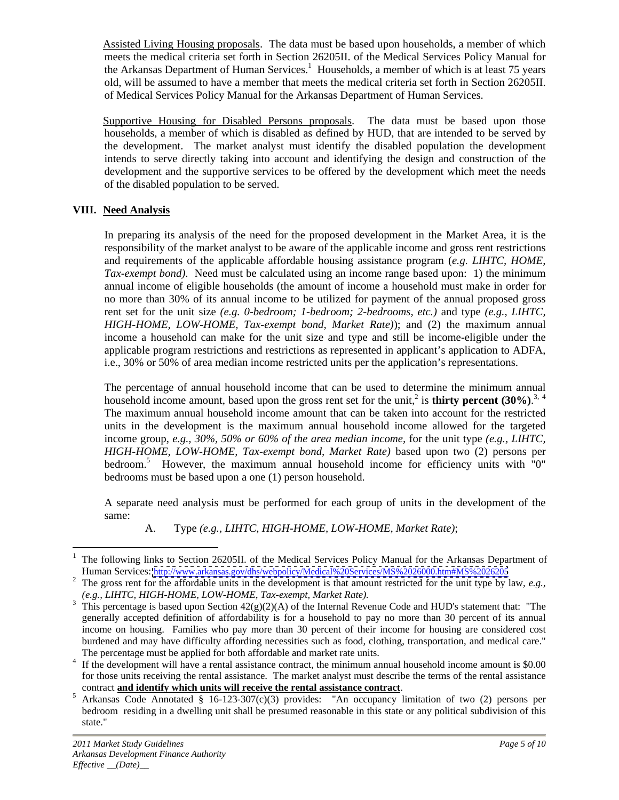Assisted Living Housing proposals. The data must be based upon households, a member of which meets the medical criteria set forth in Section 26205II. of the Medical Services Policy Manual for the Arkansas Department of Human Services.<sup>1</sup> Households, a member of which is at least 75 years old, will be assumed to have a member that meets the medical criteria set forth in Section 26205II. of Medical Services Policy Manual for the Arkansas Department of Human Services.

Supportive Housing for Disabled Persons proposals. The data must be based upon those households, a member of which is disabled as defined by HUD, that are intended to be served by the development. The market analyst must identify the disabled population the development intends to serve directly taking into account and identifying the design and construction of the development and the supportive services to be offered by the development which meet the needs of the disabled population to be served.

## **VIII. Need Analysis**

In preparing its analysis of the need for the proposed development in the Market Area, it is the responsibility of the market analyst to be aware of the applicable income and gross rent restrictions and requirements of the applicable affordable housing assistance program (*e.g. LIHTC, HOME, Tax-exempt bond)*. Need must be calculated using an income range based upon: 1) the minimum annual income of eligible households (the amount of income a household must make in order for no more than 30% of its annual income to be utilized for payment of the annual proposed gross rent set for the unit size *(e.g. 0-bedroom; 1-bedroom; 2-bedrooms, etc.)* and type *(e.g., LIHTC, HIGH-HOME, LOW-HOME, Tax-exempt bond, Market Rate)*); and (2) the maximum annual income a household can make for the unit size and type and still be income-eligible under the applicable program restrictions and restrictions as represented in applicant's application to ADFA, i.e., 30% or 50% of area median income restricted units per the application's representations.

i.e., 30% or 50% of area median income restricted units per the application's representations. The percentage of annual household income that can be used to determine the minimum annual household income amount, based upon the gross rent set for the unit,<sup>2</sup> is **thirty percent (30%)**.<sup>3, 4</sup><br>The maximum annual household income amount that can be taken into account for the restricted is **thirty percent (30%)**.3, <sup>4</sup> units in the development is the maximum annual household income allowed for the targeted income group, *e.g., 30%, 50% or 60% of the area median income,* for the unit type*(e.g., LIHTC, HIGH-HOME, LOW-HOME, Tax-exempt bond, Market Rate)* based upon two (2) persons per bedroom.<sup>5</sup> However, the maximum annual household income for efficiency units with "0" bedrooms must be based upon a one (1) person household.

A separate need analysis must be performed for each group of units in the development of the same:

A. Type *(e.g., LIHTC, HIGH-HOME, LOW-HOME, Market Rate)*;

 <sup>1</sup> The following links to Section 26205II. of the Medical Services Policy Manual for the Arkansas Department of Human Services: <http://www.arkansas.gov/dhs/webpolicy/Medical%20Services/MS%2026000.htm#MS%2026205>

The gross rent for the affordable units in the development is that amount restricted for the unit type by law, *e.g.*, *(e.g., LIHTC, HIGH-HOME, LOW-HOME, Tax-exempt, Market Rate).* 

<sup>&</sup>lt;sup>3</sup> This percentage is based upon Section  $42(g)(2)(A)$  of the Internal Revenue Code and HUD's statement that: "The generally accepted definition of affordability is for a household to pay no more than 30 percent of its annual income on housing. Families who pay more than 30 percent of their income for housing are considered cost burdened and may have difficulty affording necessities such as food, clothing, transportation, and medical care."

The percentage must be applied for both affordable and market rate units.<br><sup>4</sup> If the development will have a rental assistance contract, the minimum annual household income amount is \$0.00 for those units receiving the rental assistance. The market analyst must describe the terms of the rental assistance

contract **and identify which units will receive the rental assistance contract**. <sup>5</sup> Arkansas Code Annotated § 16-123-307(c)(3) provides: "An occupancy limitation of two (2) persons per bedroom residing in a dwelling unit shall be presumed reasonable in this state or any political subdivision of this state."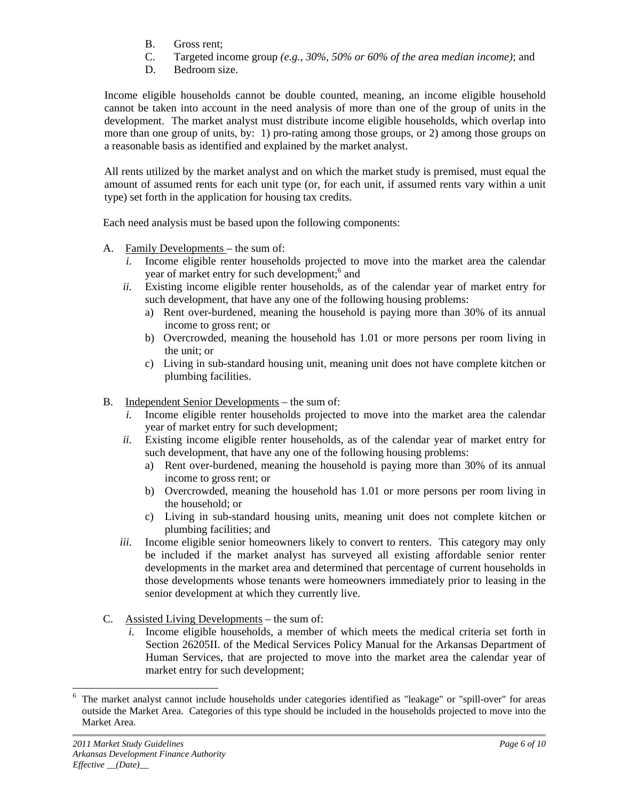- B. Gross rent;
- C. Targeted income group *(e.g., 30%, 50% or 60% of the area median income)*; and
- D. Bedroom size.

Income eligible households cannot be double counted, meaning, an income eligible household cannot be taken into account in the need analysis of more than one of the group of units in the development. The market analyst must distribute income eligible households, which overlap into more than one group of units, by: 1) pro-rating among those groups, or 2) among those groups on a reasonable basis as identified and explained by the market analyst.

All rents utilized by the market analyst and on which the market study is premised, must equal the amount of assumed rents for each unit type (or, for each unit, if assumed rents vary within a unit type) set forth in the application for housing tax credits. Each need analysis must be based upon the following components:

- A. Family Developments the sum of:
	- *i.* Income eligible renter households projected to move into the market area the calendar year of market entry for such development;<sup>6</sup> and and
	- *ii.* Existing income eligible renter households, as of the calendar year of market entry for such development, that have any one of the following housing problems:
		- a) Rent over-burdened, meaning the household is paying more than 30% of its annual income to gross rent; or
		- b) Overcrowded, meaning the household has 1.01 or more persons per room living in the unit; or
		- c) Living in sub-standard housing unit, meaning unit does not have complete kitchen or plumbing facilities.
- B. Independent Senior Developments the sum of:
	- *i.* Income eligible renter households projected to move into the market area the calendar year of market entry for such development;
	- *ii.* Existing income eligible renter households, as of the calendar year of market entry for such development, that have any one of the following housing problems:
		- a) Rent over-burdened, meaning the household is paying more than 30% of its annual income to gross rent; or
		- b) Overcrowded, meaning the household has 1.01 or more persons per room living in the household; or
		- c) Living in sub-standard housing units, meaning unit does not complete kitchen or plumbing facilities; and
- *iii.* Income eligible senior homeowners likely to convert to renters. This category may only be included if the market analyst has surveyed all existing affordable senior renter developments in the market area and determined that percentage of current households in those developments whose tenants were homeowners immediately prior to leasing in the senior development at which they currently live.<br>
C. Assisted Living Developments – the sum of:
- - *i.* Income eligible households, a member of which meets the medical criteria set forth in Section 26205II. of the Medical Services Policy Manual for the Arkansas Department of Human Services, that are projected to move into the market area the calendar year of market entry for such development;

 <sup>6</sup> The market analyst cannot include households under categories identified as "leakage" or "spill-over" for areas outside the Market Area. Categories of this type should be included in the households projected to move into the Market Area.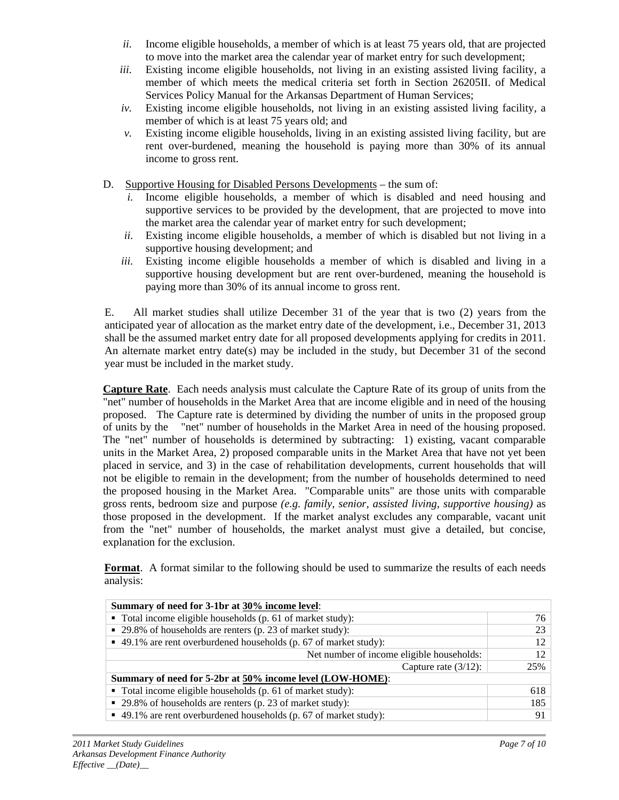- *ii.* Income eligible households, a member of which is at least 75 years old, that are projected to move into the market area the calendar year of market entry for such development;
- *iii.* Existing income eligible households, not living in an existing assisted living facility, a member of which meets the medical criteria set forth in Section 26205II. of Medical Services Policy Manual for the Arkansas Department of Human Services;
- *iv.* Existing income eligible households, not living in an existing assisted living facility, a member of which is at least 75 years old; and
- *v.* Existing income eligible households, living in an existing assisted living facility, but are rent over-burdened, meaning the household is paying more than 30% of its annual income to gross rent.
- D. Supportive Housing for Disabled Persons Developments the sum of:
	- *i.* Income eligible households, a member of which is disabled and need housing and supportive services to be provided by the development, that are projected to move into the market area the calendar year of market entry for such development;
	- *ii.* Existing income eligible households, a member of which is disabled but not living in a supportive housing development; and
	- *iii.* Existing income eligible households a member of which is disabled and living in a supportive housing development but are rent over-burdened, meaning the household is paying more than 30% of its annual income to gross rent.

E. All market studies shall utilize December 31 of the year that is two (2) years from the anticipated year of allocation as the market entry date of the development, i.e., December 31, 2013 shall be the assumed market entry date for all proposed developments applying for credits in 2011. An alternate market entry date(s) may be included in the study, but December <sup>31</sup> of the second year must be included in the market study.

**Capture Rate**. Each needs analysis must calculate the Capture Rate of its group of units from the "net" number of households in the Market Area that are income eligible and in need of the housing proposed. The Capture rate is determined by dividing the number of units in the proposed group of units by the "net" number of households in the Market Area in need of the housing proposed. The "net" number of households is determined by subtracting: 1) existing, vacant comparable units in the Market Area, 2) proposed comparable units in the Market Area that have not yet been placed in service, and 3) in the case of rehabilitation developments, current households that will not be eligible to remain in the development; from the number of households determined to need the proposed housing in the Market Area. "Comparable units" are those units with comparable gross rents, bedroom size and purpose *(e.g. family, senior, assisted living, supportive housing)* as those proposed in the development. If the market analyst excludes any comparable, vacant unit from the "net" number of households, the market analyst must give a detailed, but concise, explanation for the exclusion.

**Format**. A format similar to the following should be used to summarize the results of each needs analysis:

| Summary of need for 3-1br at 30% income level:                            |  |
|---------------------------------------------------------------------------|--|
| $\blacksquare$ Total income eligible households (p. 61 of market study):  |  |
| $\vert$ = 29.8% of households are renters (p. 23 of market study):        |  |
| $\vert$ = 49.1% are rent overburdened households (p. 67 of market study): |  |
| Net number of income eligible households:                                 |  |
| Capture rate $(3/12)$ :                                                   |  |
| Summary of need for 5-2br at 50% income level (LOW-HOME):                 |  |
| $\blacksquare$ Total income eligible households (p. 61 of market study):  |  |
| $\vert$ = 29.8% of households are renters (p. 23 of market study):        |  |
| $\vert$ = 49.1% are rent overburdened households (p. 67 of market study): |  |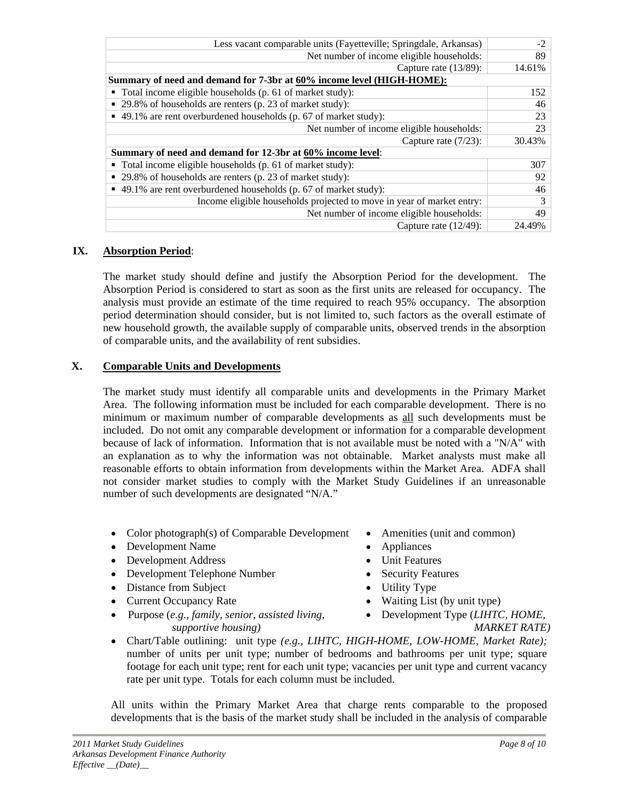| Less vacant comparable units (Fayetteville; Springdale, Arkansas)                     |        |
|---------------------------------------------------------------------------------------|--------|
| Net number of income eligible households:                                             |        |
| Capture rate $(13/89)$ :                                                              | 14.619 |
| Summary of need and demand for 7-3br at 60% income level (HIGH-HOME):                 |        |
| $\bullet$ Total income eligible households (p. 61 of market study):                   |        |
| $\vert$ = 29.8% of households are renters (p. 23 of market study):                    |        |
| $\blacktriangleright$ 49.1% are rent overburdened households (p. 67 of market study): |        |
| Net number of income eligible households:                                             |        |
| Capture rate (7/23): 30.43%                                                           |        |
| Summary of need and demand for 12-3br at 60% income level:                            |        |
| $\bullet$ Total income eligible households (p. 61 of market study):                   |        |
| $\vert$ = 29.8% of households are renters (p. 23 of market study):                    |        |
| $\bullet$ 49.1% are rent overburdened households (p. 67 of market study):             |        |
| Income eligible households projected to move in year of market entry:                 |        |
| Net number of income eligible households:                                             |        |
| Capture rate $(12/49)$ :                                                              |        |

# **IX. Absorption Period**:

The market study should define and justify the Absorption Period for the development. The Absorption Period is considered to start as soon as the first units are released for occupancy. The analysis must provide an estimate of the time required to reach 95% occupancy. The absorption period determination should consider, but is not limited to, such factors as the overall estimate of new household growth, the available supply of comparable units, observed trends in the absorption of comparable units, and the availability of rent subsidies.

## **X. Comparable Units and Developments**

The market study must identify all comparable units and developmentsin the Primary Market Area. The following information must be included for each comparable development. There is no minimum or maximum number of comparable developments as all such developments must be included. Do not omit any comparable development or information for a comparable development because of lack of information. Information that is not available must be noted with a "N/A" with an explanation as to why the information was not obtainable. Market analysts must make all reasonable efforts to obtain information from developments within the Market Area. ADFA shall not consider market studies to comply with the Market Study Guidelines if an unreasonable number of such developments are designated "N/A."

- Color photograph(s) of Comparable Development Amenities (unit and common)
- Development Name **Appliances Constanting Appliances Constanting Appliances**
- Development Address **Conserversity** Development Address **Conserversity** Development Address
- Development Telephone Number Security Features
- Distance from Subject **Conserverse Conserverse Conserverse Conserverse Conserverse Conserverse Conserverse Conserverse Conserverse Conserverse Conserverse Conserverse Conserverse Conserverse Conserverse Conserverse Conserv**
- 
- Purpose (*e.g., family, senior, assisted living, supportive housing*) MARKET RATE
- 
- 
- 
- 
- 
- Current Occupancy Rate Waiting List (by unit type)
	- Development Type (*LIHTC, HOME,*

 *MARKET RATE)*

Chart/Table outlining: unit type *(e.g., LIHTC, HIGH-HOME, LOW-HOME, Market Rate);* number of units per unit type; number of bedrooms and bathrooms per unit type; square footage for each unit type; rent for each unit type; vacancies per unit type and current vacancy rate per unit type. Totals for each column must be included.

All units within the Primary Market Area that charge rents comparable to the proposed developments that is the basis of the market study shall be included in the analysis of comparable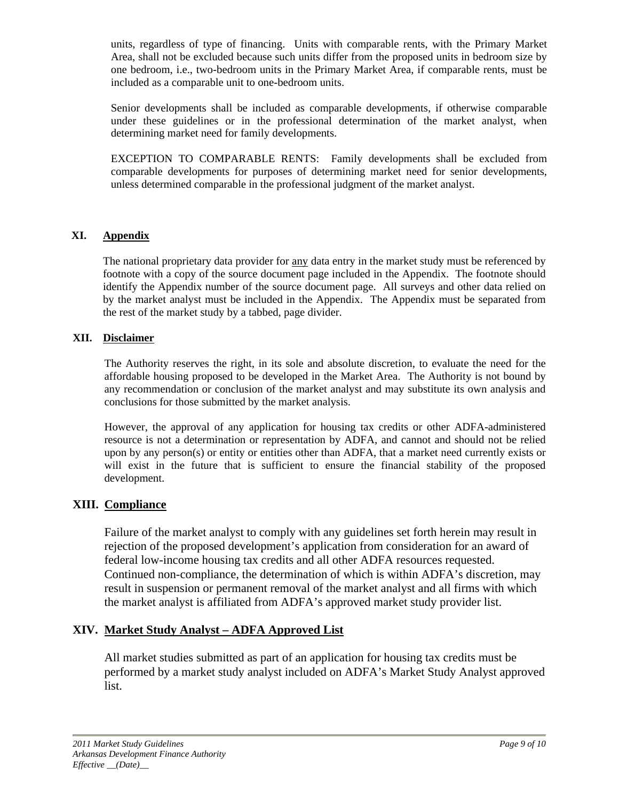units, regardless of type of financing. Units with comparable rents, with the Primary Market Area, shall not be excluded because such units differ from the proposed units in bedroom size by one bedroom, i.e., two-bedroom units in the Primary Market Area, if comparable rents, must be included as a comparable unit to one-bedroom units.

Senior developments shall be included as comparable developments, if otherwise comparable under these guidelines or in the professional determination of the market analyst, when determining market need for family developments.

EXCEPTION TO COMPARABLE RENTS: Family developments shall be excluded from comparable developments for purposes of determining market need for senior developments, unless determined comparable in the professional judgment of the market analyst.

## **XI. Appendix**

The national proprietary data provider for any data entry in the market study must be referenced by footnote with a copy of the source document page included in the Appendix. The footnote should identify the Appendix number of the source document page. All surveys and other data relied on by the market analyst must be included in the Appendix. The Appendix must be separated from the rest of the market study by a tabbed, page divider.

## **XII. Disclaimer**

The Authority reserves the right, in its sole and absolute discretion, to evaluate the need for the affordable housing proposed to be developed in the Market Area. The Authority is not bound by any recommendation or conclusion of the market analyst and may substitute its own analysis and conclusions for those submitted by the market analysis. However, the approval of any application for housing tax credits or other ADFA-administered

resource is not a determination or representation by ADFA, and cannot and should not be relied upon by any person(s) or entity or entities other than ADFA, that a market need currently exists or will exist in the future that is sufficient to ensure the financial stability of the proposed development.

# **XIII. Compliance**

Failure of the market analyst to comply with any guidelines set forth herein may result in rejection of the proposed development's application from consideration for an award of federal low-income housing tax credits and all other ADFA resources requested. Continued non-compliance, the determination of which is within ADFA's discretion, may result in suspension or permanent removal of the market analyst and all firms with which the market analyst is affiliated from ADFA's approved market study provider list.

# **XIV. Market Study Analyst – ADFA Approved List**

All market studies submitted as part of an application for housing tax credits must be performed by a market study analyst included on ADFA's Market Study Analyst approved list.